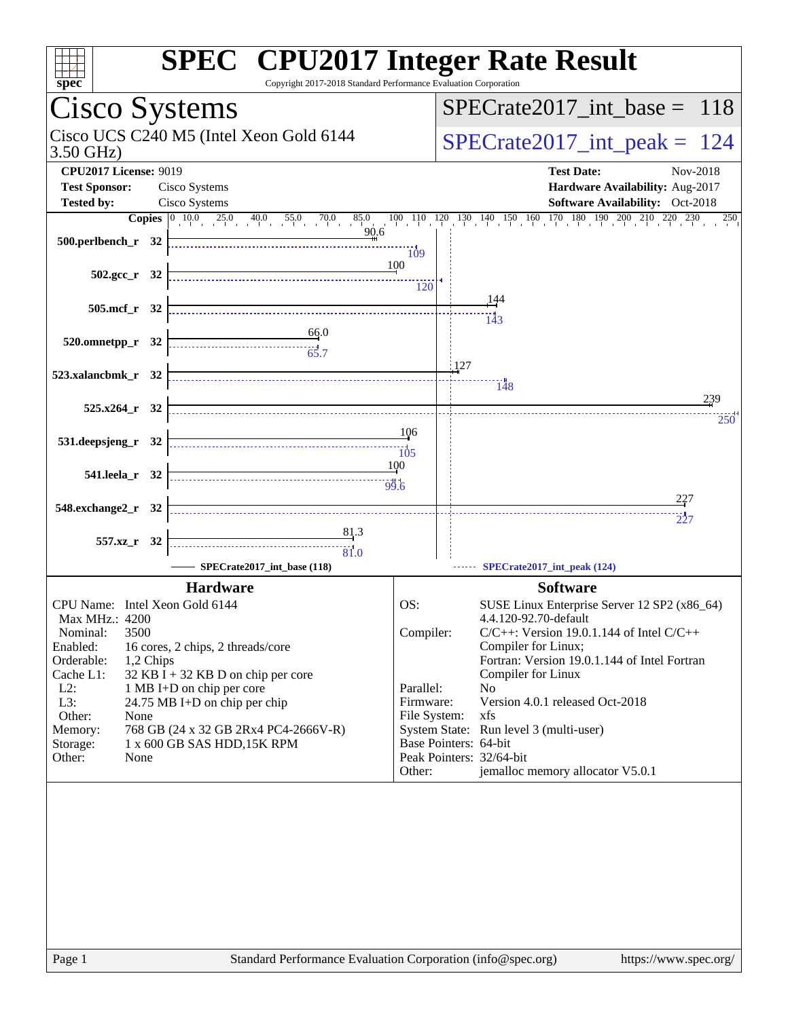| spec                                                                          | <b>SPEC<sup>®</sup></b> CPU2017 Integer Rate Result<br>Copyright 2017-2018 Standard Performance Evaluation Corporation                                                                          |
|-------------------------------------------------------------------------------|-------------------------------------------------------------------------------------------------------------------------------------------------------------------------------------------------|
| Cisco Systems                                                                 | $SPECrate2017\_int\_base =$<br>118                                                                                                                                                              |
| Cisco UCS C240 M5 (Intel Xeon Gold 6144<br>$3.50$ GHz)                        | $SPECrate2017\_int\_peak =$<br>124                                                                                                                                                              |
| <b>CPU2017 License: 9019</b>                                                  | <b>Test Date:</b><br>Nov-2018                                                                                                                                                                   |
| <b>Test Sponsor:</b><br>Cisco Systems                                         | Hardware Availability: Aug-2017                                                                                                                                                                 |
| Cisco Systems<br><b>Tested by:</b>                                            | Software Availability: Oct-2018                                                                                                                                                                 |
| 90.6                                                                          | <b>Copies</b> $\begin{bmatrix} 0 & 10 & 0 & 25 & 0 & 40 & 0 & 55 & 0 & 70 & 0 & 85 & 0 & 10 & 110 & 120 & 130 & 140 & 150 & 160 & 170 & 180 & 190 & 200 & 210 & 220 & 230 \end{bmatrix}$<br>250 |
| 500.perlbench_r 32                                                            | $\dddot{109}$                                                                                                                                                                                   |
| $502.\text{gcc r}$ 32                                                         | 100                                                                                                                                                                                             |
|                                                                               | 120                                                                                                                                                                                             |
| 505.mcf_r 32                                                                  | 144                                                                                                                                                                                             |
|                                                                               | $\frac{143}{143}$                                                                                                                                                                               |
| $\begin{array}{c}\n 66.0 \\  \hline\n 65.7\n \end{array}$<br>520.omnetpp_r 32 |                                                                                                                                                                                                 |
|                                                                               | i 127                                                                                                                                                                                           |
| 523.xalancbmk_r 32                                                            | 148                                                                                                                                                                                             |
| $525.x264$ $r$ 32                                                             | 239                                                                                                                                                                                             |
|                                                                               | 250                                                                                                                                                                                             |
| 531.deepsjeng_r 32                                                            | 106                                                                                                                                                                                             |
| $\overbrace{\hspace{1.5cm}105}$                                               |                                                                                                                                                                                                 |
| 541.leela r 32                                                                | 100                                                                                                                                                                                             |
|                                                                               | 227                                                                                                                                                                                             |
| 548.exchange2_r 32                                                            | 227                                                                                                                                                                                             |
| 81.3                                                                          |                                                                                                                                                                                                 |
| 557.xz_r 32<br>$\frac{1}{81.0}$                                               |                                                                                                                                                                                                 |
| SPECrate2017_int_base (118)                                                   | SPECrate2017_int_peak (124)                                                                                                                                                                     |
| <b>Hardware</b>                                                               | <b>Software</b>                                                                                                                                                                                 |
| CPU Name: Intel Xeon Gold 6144                                                | OS:<br>SUSE Linux Enterprise Server 12 SP2 (x86_64)                                                                                                                                             |
| Max MHz.: 4200                                                                | 4.4.120-92.70-default                                                                                                                                                                           |
| 3500<br>Nominal:<br>Enabled:<br>16 cores, 2 chips, 2 threads/core             | Compiler:<br>$C/C++$ : Version 19.0.1.144 of Intel $C/C++$<br>Compiler for Linux;                                                                                                               |
| Orderable:<br>1,2 Chips                                                       | Fortran: Version 19.0.1.144 of Intel Fortran                                                                                                                                                    |
| Cache L1:<br>32 KB I + 32 KB D on chip per core                               | Compiler for Linux                                                                                                                                                                              |
| $L2$ :<br>1 MB I+D on chip per core<br>L3:<br>24.75 MB I+D on chip per chip   | Parallel:<br>No<br>Version 4.0.1 released Oct-2018<br>Firmware:                                                                                                                                 |
| Other:<br>None                                                                | File System:<br>xfs                                                                                                                                                                             |
| 768 GB (24 x 32 GB 2Rx4 PC4-2666V-R)<br>Memory:                               | System State: Run level 3 (multi-user)                                                                                                                                                          |
| 1 x 600 GB SAS HDD, 15K RPM<br>Storage:                                       | Base Pointers: 64-bit<br>Peak Pointers: 32/64-bit                                                                                                                                               |
| Other:<br>None                                                                | jemalloc memory allocator V5.0.1<br>Other:                                                                                                                                                      |
|                                                                               |                                                                                                                                                                                                 |
|                                                                               |                                                                                                                                                                                                 |
|                                                                               |                                                                                                                                                                                                 |
|                                                                               |                                                                                                                                                                                                 |
|                                                                               |                                                                                                                                                                                                 |
|                                                                               |                                                                                                                                                                                                 |
|                                                                               |                                                                                                                                                                                                 |
|                                                                               |                                                                                                                                                                                                 |
|                                                                               |                                                                                                                                                                                                 |
| Page 1                                                                        | Standard Performance Evaluation Corporation (info@spec.org)<br>https://www.spec.org/                                                                                                            |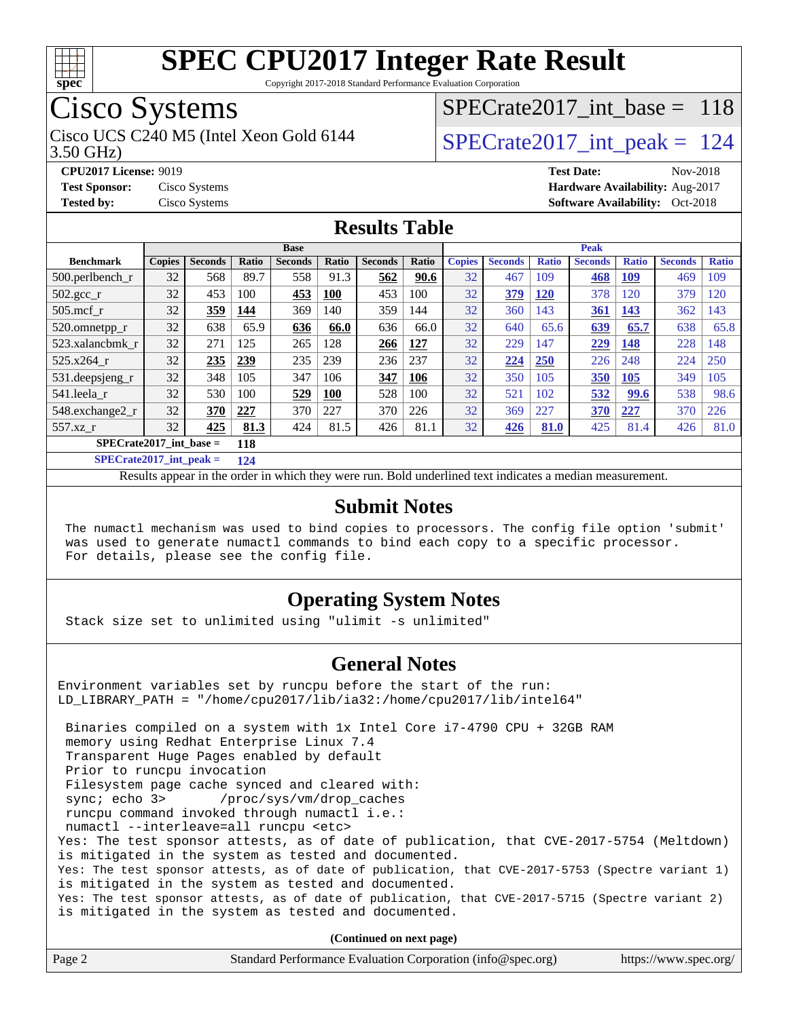

Copyright 2017-2018 Standard Performance Evaluation Corporation

## Cisco Systems

Cisco UCS C240 M5 (Intel Xeon Gold 6144  $\vert$  [SPECrate2017\\_int\\_peak =](http://www.spec.org/auto/cpu2017/Docs/result-fields.html#SPECrate2017intpeak) 124

[SPECrate2017\\_int\\_base =](http://www.spec.org/auto/cpu2017/Docs/result-fields.html#SPECrate2017intbase) 118

#### 3.50 GHz)

**[CPU2017 License:](http://www.spec.org/auto/cpu2017/Docs/result-fields.html#CPU2017License)** 9019 **[Test Date:](http://www.spec.org/auto/cpu2017/Docs/result-fields.html#TestDate)** Nov-2018 **[Test Sponsor:](http://www.spec.org/auto/cpu2017/Docs/result-fields.html#TestSponsor)** Cisco Systems **[Hardware Availability:](http://www.spec.org/auto/cpu2017/Docs/result-fields.html#HardwareAvailability)** Aug-2017 **[Tested by:](http://www.spec.org/auto/cpu2017/Docs/result-fields.html#Testedby)** Cisco Systems **[Software Availability:](http://www.spec.org/auto/cpu2017/Docs/result-fields.html#SoftwareAvailability)** Oct-2018

### **[Results Table](http://www.spec.org/auto/cpu2017/Docs/result-fields.html#ResultsTable)**

|                                  | <b>Base</b>   |                |       |                |            |                | <b>Peak</b> |               |                |              |                |              |                |                 |
|----------------------------------|---------------|----------------|-------|----------------|------------|----------------|-------------|---------------|----------------|--------------|----------------|--------------|----------------|-----------------|
| <b>Benchmark</b>                 | <b>Copies</b> | <b>Seconds</b> | Ratio | <b>Seconds</b> | Ratio      | <b>Seconds</b> | Ratio       | <b>Copies</b> | <b>Seconds</b> | <b>Ratio</b> | <b>Seconds</b> | <b>Ratio</b> | <b>Seconds</b> | <b>Ratio</b>    |
| $500$ .perlbench r               | 32            | 568            | 89.7  | 558            | 91.3       | 562            | 90.6        | 32            | 467            | 109          | 468            | <b>109</b>   | 469            | 109             |
| $502.\text{sec}$                 | 32            | 453            | 100   | 453            | <b>100</b> | 453            | 100         | 32            | 379            | <b>120</b>   | 378            | 120          | 379            | $\overline{20}$ |
| $505$ .mcf r                     | 32            | 359            | 144   | 369            | 140        | 359            | 144         | 32            | 360            | 143          | 361            | 143          | 362            | 143             |
| 520.omnetpp_r                    | 32            | 638            | 65.9  | 636            | 66.0       | 636            | 66.0        | 32            | 640            | 65.6         | 639            | 65.7         | 638            | 65.8            |
| 523.xalancbmk r                  | 32            | 271            | 125   | 265            | 128        | 266            | 127         | 32            | 229            | 147          | 229            | 148          | 228            | 148             |
| 525.x264 r                       | 32            | 235            | 239   | 235            | 239        | 236            | 237         | 32            | 224            | 250          | 226            | 248          | 224            | 250             |
| 531.deepsjeng_r                  | 32            | 348            | 105   | 347            | 106        | 347            | 106         | 32            | 350            | 105          | 350            | 105          | 349            | 105             |
| 541.leela_r                      | 32            | 530            | 100   | 529            | <b>100</b> | 528            | 100         | 32            | 521            | 102          | 532            | 99.6         | 538            | 98.6            |
| 548.exchange2_r                  | 32            | 370            | 227   | 370            | 227        | 370            | 226         | 32            | 369            | 227          | 370            | 227          | 370            | 226             |
| 557.xz r                         | 32            | 425            | 81.3  | 424            | 81.5       | 426            | 81.1        | 32            | 426            | 81.0         | 425            | 81.4         | 426            | 81.0            |
| $SPECrate2017$ int base =<br>118 |               |                |       |                |            |                |             |               |                |              |                |              |                |                 |

**[SPECrate2017\\_int\\_peak =](http://www.spec.org/auto/cpu2017/Docs/result-fields.html#SPECrate2017intpeak) 124**

Results appear in the [order in which they were run.](http://www.spec.org/auto/cpu2017/Docs/result-fields.html#RunOrder) Bold underlined text [indicates a median measurement.](http://www.spec.org/auto/cpu2017/Docs/result-fields.html#Median)

#### **[Submit Notes](http://www.spec.org/auto/cpu2017/Docs/result-fields.html#SubmitNotes)**

 The numactl mechanism was used to bind copies to processors. The config file option 'submit' was used to generate numactl commands to bind each copy to a specific processor. For details, please see the config file.

#### **[Operating System Notes](http://www.spec.org/auto/cpu2017/Docs/result-fields.html#OperatingSystemNotes)**

Stack size set to unlimited using "ulimit -s unlimited"

#### **[General Notes](http://www.spec.org/auto/cpu2017/Docs/result-fields.html#GeneralNotes)**

Environment variables set by runcpu before the start of the run: LD\_LIBRARY\_PATH = "/home/cpu2017/lib/ia32:/home/cpu2017/lib/intel64" Binaries compiled on a system with 1x Intel Core i7-4790 CPU + 32GB RAM memory using Redhat Enterprise Linux 7.4 Transparent Huge Pages enabled by default Prior to runcpu invocation Filesystem page cache synced and cleared with: sync; echo 3> /proc/sys/vm/drop\_caches runcpu command invoked through numactl i.e.: numactl --interleave=all runcpu <etc> Yes: The test sponsor attests, as of date of publication, that CVE-2017-5754 (Meltdown) is mitigated in the system as tested and documented. Yes: The test sponsor attests, as of date of publication, that CVE-2017-5753 (Spectre variant 1) is mitigated in the system as tested and documented. Yes: The test sponsor attests, as of date of publication, that CVE-2017-5715 (Spectre variant 2) is mitigated in the system as tested and documented.

**(Continued on next page)**

| Page 2<br>Standard Performance Evaluation Corporation (info@spec.org)<br>https://www.spec.org/ |
|------------------------------------------------------------------------------------------------|
|------------------------------------------------------------------------------------------------|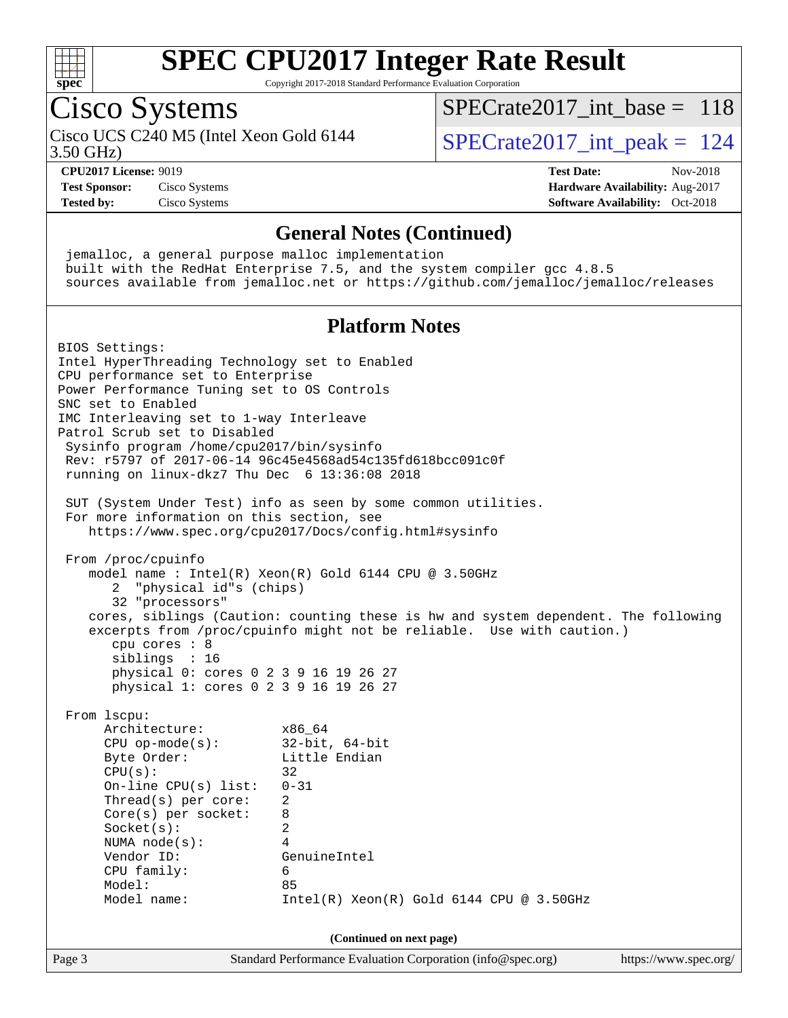

Copyright 2017-2018 Standard Performance Evaluation Corporation

## Cisco Systems

Cisco UCS C240 M5 (Intel Xeon Gold 6144  $\vert$  [SPECrate2017\\_int\\_peak =](http://www.spec.org/auto/cpu2017/Docs/result-fields.html#SPECrate2017intpeak) 124

[SPECrate2017\\_int\\_base =](http://www.spec.org/auto/cpu2017/Docs/result-fields.html#SPECrate2017intbase) 118

3.50 GHz)

**[CPU2017 License:](http://www.spec.org/auto/cpu2017/Docs/result-fields.html#CPU2017License)** 9019 **[Test Date:](http://www.spec.org/auto/cpu2017/Docs/result-fields.html#TestDate)** Nov-2018 **[Test Sponsor:](http://www.spec.org/auto/cpu2017/Docs/result-fields.html#TestSponsor)** Cisco Systems **[Hardware Availability:](http://www.spec.org/auto/cpu2017/Docs/result-fields.html#HardwareAvailability)** Aug-2017 **[Tested by:](http://www.spec.org/auto/cpu2017/Docs/result-fields.html#Testedby)** Cisco Systems **[Software Availability:](http://www.spec.org/auto/cpu2017/Docs/result-fields.html#SoftwareAvailability)** Oct-2018

#### **[General Notes \(Continued\)](http://www.spec.org/auto/cpu2017/Docs/result-fields.html#GeneralNotes)**

 jemalloc, a general purpose malloc implementation built with the RedHat Enterprise 7.5, and the system compiler gcc 4.8.5 sources available from jemalloc.net or <https://github.com/jemalloc/jemalloc/releases>

### **[Platform Notes](http://www.spec.org/auto/cpu2017/Docs/result-fields.html#PlatformNotes)**

Page 3 Standard Performance Evaluation Corporation [\(info@spec.org\)](mailto:info@spec.org) <https://www.spec.org/> BIOS Settings: Intel HyperThreading Technology set to Enabled CPU performance set to Enterprise Power Performance Tuning set to OS Controls SNC set to Enabled IMC Interleaving set to 1-way Interleave Patrol Scrub set to Disabled Sysinfo program /home/cpu2017/bin/sysinfo Rev: r5797 of 2017-06-14 96c45e4568ad54c135fd618bcc091c0f running on linux-dkz7 Thu Dec 6 13:36:08 2018 SUT (System Under Test) info as seen by some common utilities. For more information on this section, see <https://www.spec.org/cpu2017/Docs/config.html#sysinfo> From /proc/cpuinfo model name : Intel(R) Xeon(R) Gold 6144 CPU @ 3.50GHz 2 "physical id"s (chips) 32 "processors" cores, siblings (Caution: counting these is hw and system dependent. The following excerpts from /proc/cpuinfo might not be reliable. Use with caution.) cpu cores : 8 siblings : 16 physical 0: cores 0 2 3 9 16 19 26 27 physical 1: cores 0 2 3 9 16 19 26 27 From lscpu: Architecture: x86\_64 CPU op-mode(s): 32-bit, 64-bit Byte Order: Little Endian  $CPU(s):$  32 On-line CPU(s) list: 0-31 Thread(s) per core: 2 Core(s) per socket: 8 Socket(s): 2 NUMA node(s): 4 Vendor ID: GenuineIntel CPU family: 6 Model: 85 Model name: Intel(R) Xeon(R) Gold 6144 CPU @ 3.50GHz **(Continued on next page)**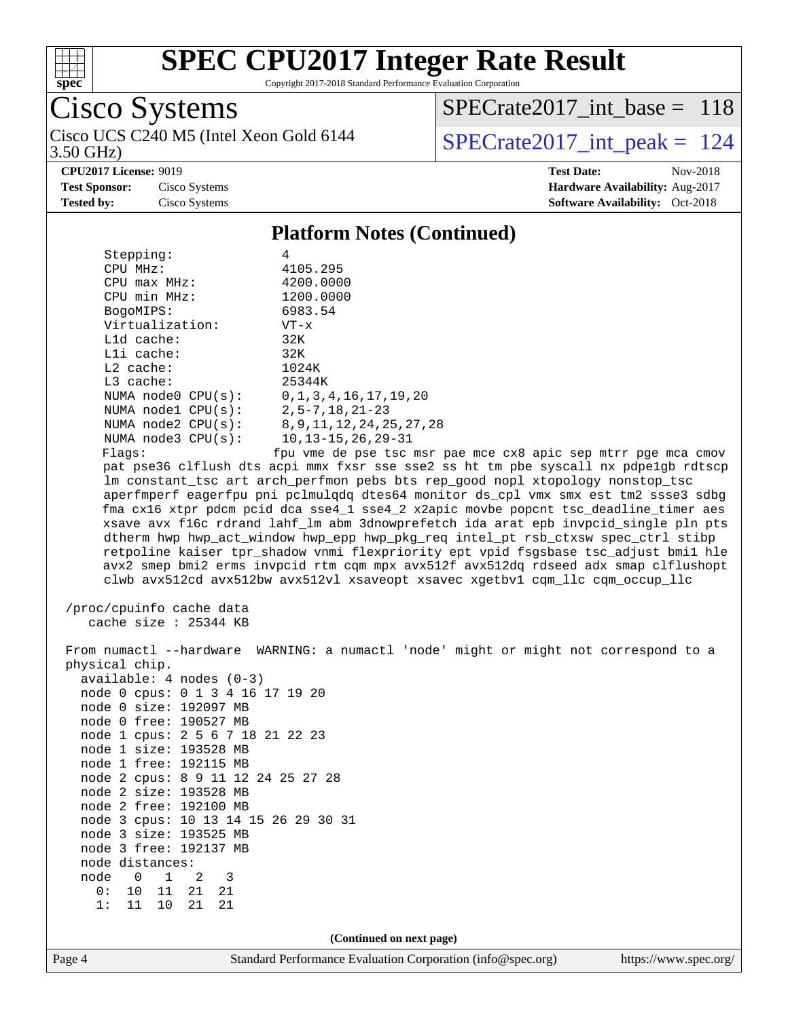

Copyright 2017-2018 Standard Performance Evaluation Corporation

# Cisco Systems

3.50 GHz) Cisco UCS C240 M5 (Intel Xeon Gold 6144  $\vert$  [SPECrate2017\\_int\\_peak =](http://www.spec.org/auto/cpu2017/Docs/result-fields.html#SPECrate2017intpeak) 124

 $SPECrate2017\_int\_base = 118$ 

**[CPU2017 License:](http://www.spec.org/auto/cpu2017/Docs/result-fields.html#CPU2017License)** 9019 **[Test Date:](http://www.spec.org/auto/cpu2017/Docs/result-fields.html#TestDate)** Nov-2018

**[Test Sponsor:](http://www.spec.org/auto/cpu2017/Docs/result-fields.html#TestSponsor)** Cisco Systems **[Hardware Availability:](http://www.spec.org/auto/cpu2017/Docs/result-fields.html#HardwareAvailability)** Aug-2017 **[Tested by:](http://www.spec.org/auto/cpu2017/Docs/result-fields.html#Testedby)** Cisco Systems **Cisco Systems [Software Availability:](http://www.spec.org/auto/cpu2017/Docs/result-fields.html#SoftwareAvailability)** Oct-2018

#### **[Platform Notes \(Continued\)](http://www.spec.org/auto/cpu2017/Docs/result-fields.html#PlatformNotes)**

| Stepping:                | 4                            |
|--------------------------|------------------------------|
| CPU MHz:                 | 4105.295                     |
| $CPU$ max $MHz$ :        | 4200.0000                    |
| CPU min MHz:             | 1200.0000                    |
| BogoMIPS:                | 6983.54                      |
| Virtualization:          | $VT - x$                     |
| $L1d$ cache:             | 32K                          |
| $L1i$ cache:             | 32K                          |
| $L2$ cache:              | 1024K                        |
| $L3$ cache:              | 25344K                       |
| NUMA $node0$ $CPU(s)$ :  | 0, 1, 3, 4, 16, 17, 19, 20   |
| NUMA nodel CPU(s):       | $2, 5 - 7, 18, 21 - 23$      |
| NUMA $node2$ $CPU(s)$ :  | 8, 9, 11, 12, 24, 25, 27, 28 |
| NUMA $node3$ CPU $(s)$ : | $10, 13 - 15, 26, 29 - 31$   |
| Flags:                   | fou vme de pse tsc msr       |

pse tsc msr pae mce cx8 apic sep mtrr pge mca cmov pat pse36 clflush dts acpi mmx fxsr sse sse2 ss ht tm pbe syscall nx pdpe1gb rdtscp lm constant\_tsc art arch\_perfmon pebs bts rep\_good nopl xtopology nonstop\_tsc aperfmperf eagerfpu pni pclmulqdq dtes64 monitor ds\_cpl vmx smx est tm2 ssse3 sdbg fma cx16 xtpr pdcm pcid dca sse4\_1 sse4\_2 x2apic movbe popcnt tsc\_deadline\_timer aes xsave avx f16c rdrand lahf\_lm abm 3dnowprefetch ida arat epb invpcid\_single pln pts dtherm hwp hwp\_act\_window hwp\_epp hwp\_pkg\_req intel\_pt rsb\_ctxsw spec\_ctrl stibp retpoline kaiser tpr\_shadow vnmi flexpriority ept vpid fsgsbase tsc\_adjust bmi1 hle avx2 smep bmi2 erms invpcid rtm cqm mpx avx512f avx512dq rdseed adx smap clflushopt clwb avx512cd avx512bw avx512vl xsaveopt xsavec xgetbv1 cqm\_llc cqm\_occup\_llc

```
 /proc/cpuinfo cache data
   cache size : 25344 KB
```
 From numactl --hardware WARNING: a numactl 'node' might or might not correspond to a physical chip. available: 4 nodes (0-3) node 0 cpus: 0 1 3 4 16 17 19 20 node 0 size: 192097 MB node 0 free: 190527 MB node 1 cpus: 2 5 6 7 18 21 22 23 node 1 size: 193528 MB node 1 free: 192115 MB node 2 cpus: 8 9 11 12 24 25 27 28 node 2 size: 193528 MB node 2 free: 192100 MB node 3 cpus: 10 13 14 15 26 29 30 31 node 3 size: 193525 MB node 3 free: 192137 MB node distances: node 0 1 2 3 0: 10 11 21 21 1: 11 10 21 21

**(Continued on next page)**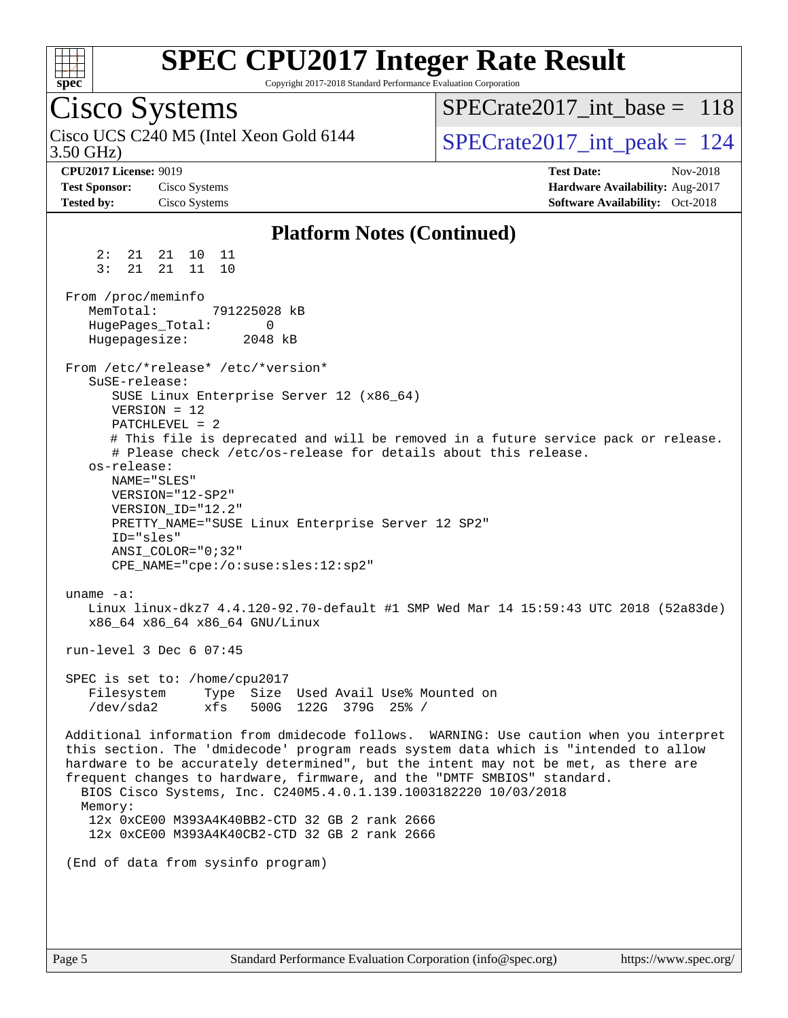

Copyright 2017-2018 Standard Performance Evaluation Corporation

## Cisco Systems

3.50 GHz) Cisco UCS C240 M5 (Intel Xeon Gold 6144  $\vert$  [SPECrate2017\\_int\\_peak =](http://www.spec.org/auto/cpu2017/Docs/result-fields.html#SPECrate2017intpeak) 124

 $SPECrate2017\_int\_base = 118$ 

**[CPU2017 License:](http://www.spec.org/auto/cpu2017/Docs/result-fields.html#CPU2017License)** 9019 **[Test Date:](http://www.spec.org/auto/cpu2017/Docs/result-fields.html#TestDate)** Nov-2018 **[Test Sponsor:](http://www.spec.org/auto/cpu2017/Docs/result-fields.html#TestSponsor)** Cisco Systems **[Hardware Availability:](http://www.spec.org/auto/cpu2017/Docs/result-fields.html#HardwareAvailability)** Aug-2017 **[Tested by:](http://www.spec.org/auto/cpu2017/Docs/result-fields.html#Testedby)** Cisco Systems **Cisco Systems [Software Availability:](http://www.spec.org/auto/cpu2017/Docs/result-fields.html#SoftwareAvailability)** Oct-2018

#### **[Platform Notes \(Continued\)](http://www.spec.org/auto/cpu2017/Docs/result-fields.html#PlatformNotes)** 2: 21 21 10 11 3: 21 21 11 10 From /proc/meminfo MemTotal: 791225028 kB HugePages\_Total: 0 Hugepagesize: 2048 kB From /etc/\*release\* /etc/\*version\* SuSE-release: SUSE Linux Enterprise Server 12 (x86\_64) VERSION = 12 PATCHLEVEL = 2 # This file is deprecated and will be removed in a future service pack or release. # Please check /etc/os-release for details about this release. os-release: NAME="SLES" VERSION="12-SP2" VERSION\_ID="12.2" PRETTY\_NAME="SUSE Linux Enterprise Server 12 SP2" ID="sles" ANSI\_COLOR="0;32" CPE\_NAME="cpe:/o:suse:sles:12:sp2" uname -a: Linux linux-dkz7 4.4.120-92.70-default #1 SMP Wed Mar 14 15:59:43 UTC 2018 (52a83de) x86\_64 x86\_64 x86\_64 GNU/Linux run-level 3 Dec 6 07:45 SPEC is set to: /home/cpu2017 Filesystem Type Size Used Avail Use% Mounted on /dev/sda2 xfs 500G 122G 379G 25% / Additional information from dmidecode follows. WARNING: Use caution when you interpret this section. The 'dmidecode' program reads system data which is "intended to allow hardware to be accurately determined", but the intent may not be met, as there are frequent changes to hardware, firmware, and the "DMTF SMBIOS" standard. BIOS Cisco Systems, Inc. C240M5.4.0.1.139.1003182220 10/03/2018 Memory: 12x 0xCE00 M393A4K40BB2-CTD 32 GB 2 rank 2666 12x 0xCE00 M393A4K40CB2-CTD 32 GB 2 rank 2666 (End of data from sysinfo program)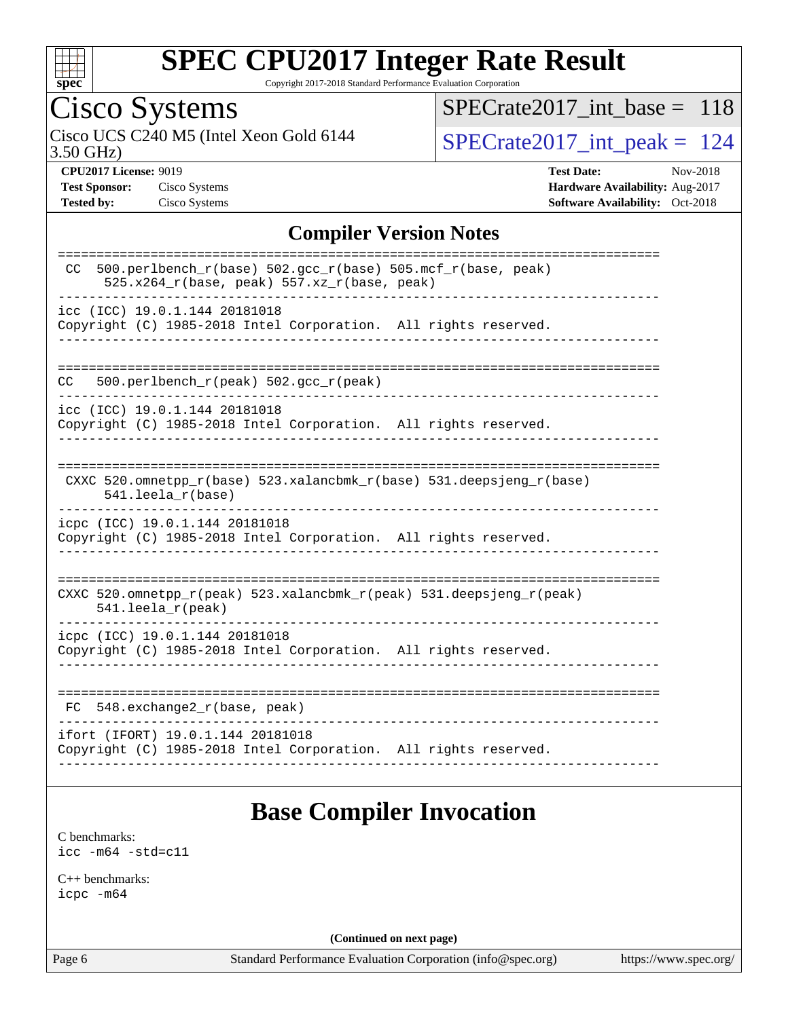

Copyright 2017-2018 Standard Performance Evaluation Corporation

## Cisco Systems

3.50 GHz) Cisco UCS C240 M5 (Intel Xeon Gold 6144  $\big|$  [SPECrate2017\\_int\\_peak =](http://www.spec.org/auto/cpu2017/Docs/result-fields.html#SPECrate2017intpeak) 124

[SPECrate2017\\_int\\_base =](http://www.spec.org/auto/cpu2017/Docs/result-fields.html#SPECrate2017intbase) 118

**[CPU2017 License:](http://www.spec.org/auto/cpu2017/Docs/result-fields.html#CPU2017License)** 9019 **[Test Date:](http://www.spec.org/auto/cpu2017/Docs/result-fields.html#TestDate)** Nov-2018 **[Test Sponsor:](http://www.spec.org/auto/cpu2017/Docs/result-fields.html#TestSponsor)** Cisco Systems **[Hardware Availability:](http://www.spec.org/auto/cpu2017/Docs/result-fields.html#HardwareAvailability)** Aug-2017 **[Tested by:](http://www.spec.org/auto/cpu2017/Docs/result-fields.html#Testedby)** Cisco Systems **[Software Availability:](http://www.spec.org/auto/cpu2017/Docs/result-fields.html#SoftwareAvailability)** Oct-2018

### **[Compiler Version Notes](http://www.spec.org/auto/cpu2017/Docs/result-fields.html#CompilerVersionNotes)**

### **[Base Compiler Invocation](http://www.spec.org/auto/cpu2017/Docs/result-fields.html#BaseCompilerInvocation)**

[C benchmarks](http://www.spec.org/auto/cpu2017/Docs/result-fields.html#Cbenchmarks): [icc -m64 -std=c11](http://www.spec.org/cpu2017/results/res2018q4/cpu2017-20181211-10276.flags.html#user_CCbase_intel_icc_64bit_c11_33ee0cdaae7deeeab2a9725423ba97205ce30f63b9926c2519791662299b76a0318f32ddfffdc46587804de3178b4f9328c46fa7c2b0cd779d7a61945c91cd35)

[C++ benchmarks:](http://www.spec.org/auto/cpu2017/Docs/result-fields.html#CXXbenchmarks) [icpc -m64](http://www.spec.org/cpu2017/results/res2018q4/cpu2017-20181211-10276.flags.html#user_CXXbase_intel_icpc_64bit_4ecb2543ae3f1412ef961e0650ca070fec7b7afdcd6ed48761b84423119d1bf6bdf5cad15b44d48e7256388bc77273b966e5eb805aefd121eb22e9299b2ec9d9)

**(Continued on next page)**

Page 6 Standard Performance Evaluation Corporation [\(info@spec.org\)](mailto:info@spec.org) <https://www.spec.org/>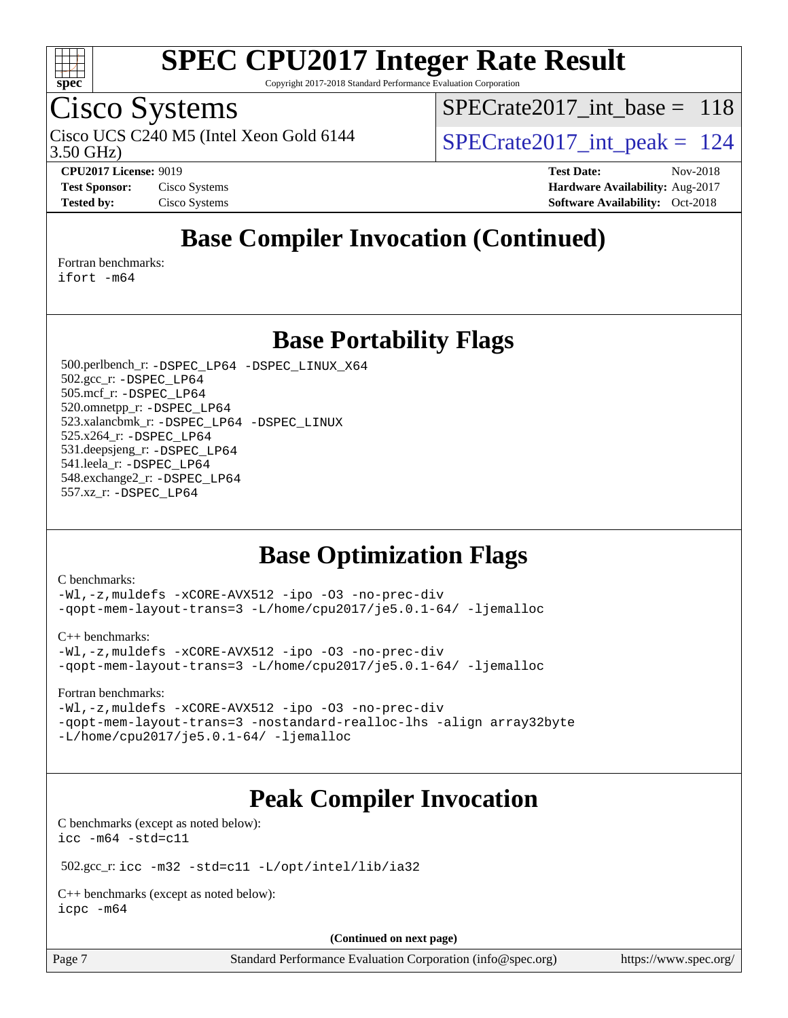

Copyright 2017-2018 Standard Performance Evaluation Corporation

### Cisco Systems

3.50 GHz) Cisco UCS C240 M5 (Intel Xeon Gold 6144  $\vert$ [SPECrate2017\\_int\\_peak =](http://www.spec.org/auto/cpu2017/Docs/result-fields.html#SPECrate2017intpeak) 124

[SPECrate2017\\_int\\_base =](http://www.spec.org/auto/cpu2017/Docs/result-fields.html#SPECrate2017intbase) 118

**[CPU2017 License:](http://www.spec.org/auto/cpu2017/Docs/result-fields.html#CPU2017License)** 9019 **[Test Date:](http://www.spec.org/auto/cpu2017/Docs/result-fields.html#TestDate)** Nov-2018 **[Test Sponsor:](http://www.spec.org/auto/cpu2017/Docs/result-fields.html#TestSponsor)** Cisco Systems **[Hardware Availability:](http://www.spec.org/auto/cpu2017/Docs/result-fields.html#HardwareAvailability)** Aug-2017 **[Tested by:](http://www.spec.org/auto/cpu2017/Docs/result-fields.html#Testedby)** Cisco Systems **[Software Availability:](http://www.spec.org/auto/cpu2017/Docs/result-fields.html#SoftwareAvailability)** Oct-2018

### **[Base Compiler Invocation \(Continued\)](http://www.spec.org/auto/cpu2017/Docs/result-fields.html#BaseCompilerInvocation)**

[Fortran benchmarks](http://www.spec.org/auto/cpu2017/Docs/result-fields.html#Fortranbenchmarks):

[ifort -m64](http://www.spec.org/cpu2017/results/res2018q4/cpu2017-20181211-10276.flags.html#user_FCbase_intel_ifort_64bit_24f2bb282fbaeffd6157abe4f878425411749daecae9a33200eee2bee2fe76f3b89351d69a8130dd5949958ce389cf37ff59a95e7a40d588e8d3a57e0c3fd751)

### **[Base Portability Flags](http://www.spec.org/auto/cpu2017/Docs/result-fields.html#BasePortabilityFlags)**

 500.perlbench\_r: [-DSPEC\\_LP64](http://www.spec.org/cpu2017/results/res2018q4/cpu2017-20181211-10276.flags.html#b500.perlbench_r_basePORTABILITY_DSPEC_LP64) [-DSPEC\\_LINUX\\_X64](http://www.spec.org/cpu2017/results/res2018q4/cpu2017-20181211-10276.flags.html#b500.perlbench_r_baseCPORTABILITY_DSPEC_LINUX_X64) 502.gcc\_r: [-DSPEC\\_LP64](http://www.spec.org/cpu2017/results/res2018q4/cpu2017-20181211-10276.flags.html#suite_basePORTABILITY502_gcc_r_DSPEC_LP64) 505.mcf\_r: [-DSPEC\\_LP64](http://www.spec.org/cpu2017/results/res2018q4/cpu2017-20181211-10276.flags.html#suite_basePORTABILITY505_mcf_r_DSPEC_LP64) 520.omnetpp\_r: [-DSPEC\\_LP64](http://www.spec.org/cpu2017/results/res2018q4/cpu2017-20181211-10276.flags.html#suite_basePORTABILITY520_omnetpp_r_DSPEC_LP64) 523.xalancbmk\_r: [-DSPEC\\_LP64](http://www.spec.org/cpu2017/results/res2018q4/cpu2017-20181211-10276.flags.html#suite_basePORTABILITY523_xalancbmk_r_DSPEC_LP64) [-DSPEC\\_LINUX](http://www.spec.org/cpu2017/results/res2018q4/cpu2017-20181211-10276.flags.html#b523.xalancbmk_r_baseCXXPORTABILITY_DSPEC_LINUX) 525.x264\_r: [-DSPEC\\_LP64](http://www.spec.org/cpu2017/results/res2018q4/cpu2017-20181211-10276.flags.html#suite_basePORTABILITY525_x264_r_DSPEC_LP64) 531.deepsjeng\_r: [-DSPEC\\_LP64](http://www.spec.org/cpu2017/results/res2018q4/cpu2017-20181211-10276.flags.html#suite_basePORTABILITY531_deepsjeng_r_DSPEC_LP64) 541.leela\_r: [-DSPEC\\_LP64](http://www.spec.org/cpu2017/results/res2018q4/cpu2017-20181211-10276.flags.html#suite_basePORTABILITY541_leela_r_DSPEC_LP64) 548.exchange2\_r: [-DSPEC\\_LP64](http://www.spec.org/cpu2017/results/res2018q4/cpu2017-20181211-10276.flags.html#suite_basePORTABILITY548_exchange2_r_DSPEC_LP64) 557.xz\_r: [-DSPEC\\_LP64](http://www.spec.org/cpu2017/results/res2018q4/cpu2017-20181211-10276.flags.html#suite_basePORTABILITY557_xz_r_DSPEC_LP64)

### **[Base Optimization Flags](http://www.spec.org/auto/cpu2017/Docs/result-fields.html#BaseOptimizationFlags)**

[C benchmarks](http://www.spec.org/auto/cpu2017/Docs/result-fields.html#Cbenchmarks):

[-Wl,-z,muldefs](http://www.spec.org/cpu2017/results/res2018q4/cpu2017-20181211-10276.flags.html#user_CCbase_link_force_multiple1_b4cbdb97b34bdee9ceefcfe54f4c8ea74255f0b02a4b23e853cdb0e18eb4525ac79b5a88067c842dd0ee6996c24547a27a4b99331201badda8798ef8a743f577) [-xCORE-AVX512](http://www.spec.org/cpu2017/results/res2018q4/cpu2017-20181211-10276.flags.html#user_CCbase_f-xCORE-AVX512) [-ipo](http://www.spec.org/cpu2017/results/res2018q4/cpu2017-20181211-10276.flags.html#user_CCbase_f-ipo) [-O3](http://www.spec.org/cpu2017/results/res2018q4/cpu2017-20181211-10276.flags.html#user_CCbase_f-O3) [-no-prec-div](http://www.spec.org/cpu2017/results/res2018q4/cpu2017-20181211-10276.flags.html#user_CCbase_f-no-prec-div) [-qopt-mem-layout-trans=3](http://www.spec.org/cpu2017/results/res2018q4/cpu2017-20181211-10276.flags.html#user_CCbase_f-qopt-mem-layout-trans_de80db37974c74b1f0e20d883f0b675c88c3b01e9d123adea9b28688d64333345fb62bc4a798493513fdb68f60282f9a726aa07f478b2f7113531aecce732043) [-L/home/cpu2017/je5.0.1-64/](http://www.spec.org/cpu2017/results/res2018q4/cpu2017-20181211-10276.flags.html#user_CCbase_jemalloc_link_path64_8e927a5f1bdac0405e66c637541874330e08086b5e62a1d024bcf3497e3c64fd173c8afb7d1730d51f6da781ef4c439bdab468bb8364cf71435e0c609fac500c) [-ljemalloc](http://www.spec.org/cpu2017/results/res2018q4/cpu2017-20181211-10276.flags.html#user_CCbase_jemalloc_link_lib_d1249b907c500fa1c0672f44f562e3d0f79738ae9e3c4a9c376d49f265a04b9c99b167ecedbf6711b3085be911c67ff61f150a17b3472be731631ba4d0471706)

[C++ benchmarks:](http://www.spec.org/auto/cpu2017/Docs/result-fields.html#CXXbenchmarks)

[-Wl,-z,muldefs](http://www.spec.org/cpu2017/results/res2018q4/cpu2017-20181211-10276.flags.html#user_CXXbase_link_force_multiple1_b4cbdb97b34bdee9ceefcfe54f4c8ea74255f0b02a4b23e853cdb0e18eb4525ac79b5a88067c842dd0ee6996c24547a27a4b99331201badda8798ef8a743f577) [-xCORE-AVX512](http://www.spec.org/cpu2017/results/res2018q4/cpu2017-20181211-10276.flags.html#user_CXXbase_f-xCORE-AVX512) [-ipo](http://www.spec.org/cpu2017/results/res2018q4/cpu2017-20181211-10276.flags.html#user_CXXbase_f-ipo) [-O3](http://www.spec.org/cpu2017/results/res2018q4/cpu2017-20181211-10276.flags.html#user_CXXbase_f-O3) [-no-prec-div](http://www.spec.org/cpu2017/results/res2018q4/cpu2017-20181211-10276.flags.html#user_CXXbase_f-no-prec-div) [-qopt-mem-layout-trans=3](http://www.spec.org/cpu2017/results/res2018q4/cpu2017-20181211-10276.flags.html#user_CXXbase_f-qopt-mem-layout-trans_de80db37974c74b1f0e20d883f0b675c88c3b01e9d123adea9b28688d64333345fb62bc4a798493513fdb68f60282f9a726aa07f478b2f7113531aecce732043) [-L/home/cpu2017/je5.0.1-64/](http://www.spec.org/cpu2017/results/res2018q4/cpu2017-20181211-10276.flags.html#user_CXXbase_jemalloc_link_path64_8e927a5f1bdac0405e66c637541874330e08086b5e62a1d024bcf3497e3c64fd173c8afb7d1730d51f6da781ef4c439bdab468bb8364cf71435e0c609fac500c) [-ljemalloc](http://www.spec.org/cpu2017/results/res2018q4/cpu2017-20181211-10276.flags.html#user_CXXbase_jemalloc_link_lib_d1249b907c500fa1c0672f44f562e3d0f79738ae9e3c4a9c376d49f265a04b9c99b167ecedbf6711b3085be911c67ff61f150a17b3472be731631ba4d0471706)

[Fortran benchmarks](http://www.spec.org/auto/cpu2017/Docs/result-fields.html#Fortranbenchmarks):

[-Wl,-z,muldefs](http://www.spec.org/cpu2017/results/res2018q4/cpu2017-20181211-10276.flags.html#user_FCbase_link_force_multiple1_b4cbdb97b34bdee9ceefcfe54f4c8ea74255f0b02a4b23e853cdb0e18eb4525ac79b5a88067c842dd0ee6996c24547a27a4b99331201badda8798ef8a743f577) [-xCORE-AVX512](http://www.spec.org/cpu2017/results/res2018q4/cpu2017-20181211-10276.flags.html#user_FCbase_f-xCORE-AVX512) [-ipo](http://www.spec.org/cpu2017/results/res2018q4/cpu2017-20181211-10276.flags.html#user_FCbase_f-ipo) [-O3](http://www.spec.org/cpu2017/results/res2018q4/cpu2017-20181211-10276.flags.html#user_FCbase_f-O3) [-no-prec-div](http://www.spec.org/cpu2017/results/res2018q4/cpu2017-20181211-10276.flags.html#user_FCbase_f-no-prec-div) [-qopt-mem-layout-trans=3](http://www.spec.org/cpu2017/results/res2018q4/cpu2017-20181211-10276.flags.html#user_FCbase_f-qopt-mem-layout-trans_de80db37974c74b1f0e20d883f0b675c88c3b01e9d123adea9b28688d64333345fb62bc4a798493513fdb68f60282f9a726aa07f478b2f7113531aecce732043) [-nostandard-realloc-lhs](http://www.spec.org/cpu2017/results/res2018q4/cpu2017-20181211-10276.flags.html#user_FCbase_f_2003_std_realloc_82b4557e90729c0f113870c07e44d33d6f5a304b4f63d4c15d2d0f1fab99f5daaed73bdb9275d9ae411527f28b936061aa8b9c8f2d63842963b95c9dd6426b8a) [-align array32byte](http://www.spec.org/cpu2017/results/res2018q4/cpu2017-20181211-10276.flags.html#user_FCbase_align_array32byte_b982fe038af199962ba9a80c053b8342c548c85b40b8e86eb3cc33dee0d7986a4af373ac2d51c3f7cf710a18d62fdce2948f201cd044323541f22fc0fffc51b6) [-L/home/cpu2017/je5.0.1-64/](http://www.spec.org/cpu2017/results/res2018q4/cpu2017-20181211-10276.flags.html#user_FCbase_jemalloc_link_path64_8e927a5f1bdac0405e66c637541874330e08086b5e62a1d024bcf3497e3c64fd173c8afb7d1730d51f6da781ef4c439bdab468bb8364cf71435e0c609fac500c) [-ljemalloc](http://www.spec.org/cpu2017/results/res2018q4/cpu2017-20181211-10276.flags.html#user_FCbase_jemalloc_link_lib_d1249b907c500fa1c0672f44f562e3d0f79738ae9e3c4a9c376d49f265a04b9c99b167ecedbf6711b3085be911c67ff61f150a17b3472be731631ba4d0471706)

## **[Peak Compiler Invocation](http://www.spec.org/auto/cpu2017/Docs/result-fields.html#PeakCompilerInvocation)**

[C benchmarks \(except as noted below\)](http://www.spec.org/auto/cpu2017/Docs/result-fields.html#Cbenchmarksexceptasnotedbelow): [icc -m64 -std=c11](http://www.spec.org/cpu2017/results/res2018q4/cpu2017-20181211-10276.flags.html#user_CCpeak_intel_icc_64bit_c11_33ee0cdaae7deeeab2a9725423ba97205ce30f63b9926c2519791662299b76a0318f32ddfffdc46587804de3178b4f9328c46fa7c2b0cd779d7a61945c91cd35)

502.gcc\_r: [icc -m32 -std=c11 -L/opt/intel/lib/ia32](http://www.spec.org/cpu2017/results/res2018q4/cpu2017-20181211-10276.flags.html#user_peakCCLD502_gcc_r_intel_icc_ba8be3d1ddcd8fa690d221d86b97d5980848a6fc7befb72d2aae7f265697ba3b80fdc9e77889232674508f6cf7fae229a8f479c4e0ca8921041dee8e2ca22d98)

[C++ benchmarks \(except as noted below\):](http://www.spec.org/auto/cpu2017/Docs/result-fields.html#CXXbenchmarksexceptasnotedbelow) [icpc -m64](http://www.spec.org/cpu2017/results/res2018q4/cpu2017-20181211-10276.flags.html#user_CXXpeak_intel_icpc_64bit_4ecb2543ae3f1412ef961e0650ca070fec7b7afdcd6ed48761b84423119d1bf6bdf5cad15b44d48e7256388bc77273b966e5eb805aefd121eb22e9299b2ec9d9)

**(Continued on next page)**

Page 7 Standard Performance Evaluation Corporation [\(info@spec.org\)](mailto:info@spec.org) <https://www.spec.org/>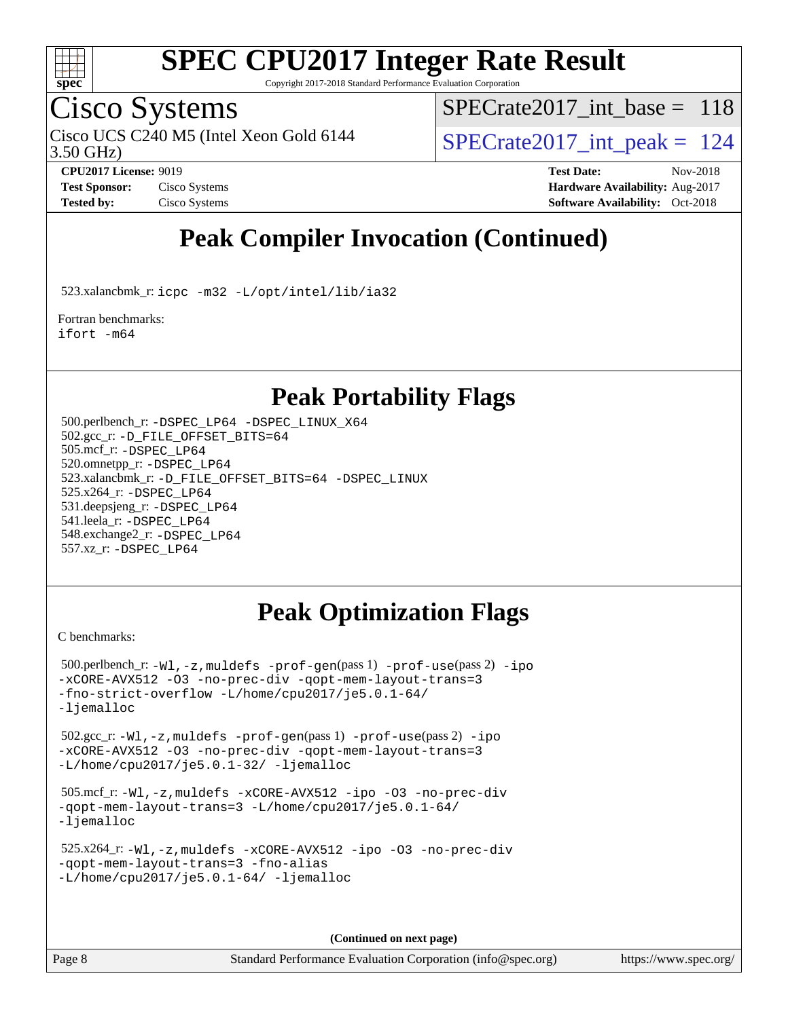

Copyright 2017-2018 Standard Performance Evaluation Corporation

### Cisco Systems

3.50 GHz) Cisco UCS C240 M5 (Intel Xeon Gold 6144  $\vert$  [SPECrate2017\\_int\\_peak =](http://www.spec.org/auto/cpu2017/Docs/result-fields.html#SPECrate2017intpeak) 124

[SPECrate2017\\_int\\_base =](http://www.spec.org/auto/cpu2017/Docs/result-fields.html#SPECrate2017intbase) 118

**[CPU2017 License:](http://www.spec.org/auto/cpu2017/Docs/result-fields.html#CPU2017License)** 9019 **[Test Date:](http://www.spec.org/auto/cpu2017/Docs/result-fields.html#TestDate)** Nov-2018 **[Test Sponsor:](http://www.spec.org/auto/cpu2017/Docs/result-fields.html#TestSponsor)** Cisco Systems **Cisco Systems [Hardware Availability:](http://www.spec.org/auto/cpu2017/Docs/result-fields.html#HardwareAvailability)** Aug-2017 **[Tested by:](http://www.spec.org/auto/cpu2017/Docs/result-fields.html#Testedby)** Cisco Systems **[Software Availability:](http://www.spec.org/auto/cpu2017/Docs/result-fields.html#SoftwareAvailability)** Oct-2018

## **[Peak Compiler Invocation \(Continued\)](http://www.spec.org/auto/cpu2017/Docs/result-fields.html#PeakCompilerInvocation)**

523.xalancbmk\_r: [icpc -m32 -L/opt/intel/lib/ia32](http://www.spec.org/cpu2017/results/res2018q4/cpu2017-20181211-10276.flags.html#user_peakCXXLD523_xalancbmk_r_intel_icpc_44eae83c1f565e7e266431f067370024ba26559400a3332485578bf716e23841c734f948145e944e2f4b6f3ce32c2c966ea92b66ca79c6f94f301242c0f554cf)

[Fortran benchmarks](http://www.spec.org/auto/cpu2017/Docs/result-fields.html#Fortranbenchmarks): [ifort -m64](http://www.spec.org/cpu2017/results/res2018q4/cpu2017-20181211-10276.flags.html#user_FCpeak_intel_ifort_64bit_24f2bb282fbaeffd6157abe4f878425411749daecae9a33200eee2bee2fe76f3b89351d69a8130dd5949958ce389cf37ff59a95e7a40d588e8d3a57e0c3fd751)

### **[Peak Portability Flags](http://www.spec.org/auto/cpu2017/Docs/result-fields.html#PeakPortabilityFlags)**

 500.perlbench\_r: [-DSPEC\\_LP64](http://www.spec.org/cpu2017/results/res2018q4/cpu2017-20181211-10276.flags.html#b500.perlbench_r_peakPORTABILITY_DSPEC_LP64) [-DSPEC\\_LINUX\\_X64](http://www.spec.org/cpu2017/results/res2018q4/cpu2017-20181211-10276.flags.html#b500.perlbench_r_peakCPORTABILITY_DSPEC_LINUX_X64) 502.gcc\_r: [-D\\_FILE\\_OFFSET\\_BITS=64](http://www.spec.org/cpu2017/results/res2018q4/cpu2017-20181211-10276.flags.html#user_peakPORTABILITY502_gcc_r_file_offset_bits_64_5ae949a99b284ddf4e95728d47cb0843d81b2eb0e18bdfe74bbf0f61d0b064f4bda2f10ea5eb90e1dcab0e84dbc592acfc5018bc955c18609f94ddb8d550002c) 505.mcf\_r: [-DSPEC\\_LP64](http://www.spec.org/cpu2017/results/res2018q4/cpu2017-20181211-10276.flags.html#suite_peakPORTABILITY505_mcf_r_DSPEC_LP64) 520.omnetpp\_r: [-DSPEC\\_LP64](http://www.spec.org/cpu2017/results/res2018q4/cpu2017-20181211-10276.flags.html#suite_peakPORTABILITY520_omnetpp_r_DSPEC_LP64) 523.xalancbmk\_r: [-D\\_FILE\\_OFFSET\\_BITS=64](http://www.spec.org/cpu2017/results/res2018q4/cpu2017-20181211-10276.flags.html#user_peakPORTABILITY523_xalancbmk_r_file_offset_bits_64_5ae949a99b284ddf4e95728d47cb0843d81b2eb0e18bdfe74bbf0f61d0b064f4bda2f10ea5eb90e1dcab0e84dbc592acfc5018bc955c18609f94ddb8d550002c) [-DSPEC\\_LINUX](http://www.spec.org/cpu2017/results/res2018q4/cpu2017-20181211-10276.flags.html#b523.xalancbmk_r_peakCXXPORTABILITY_DSPEC_LINUX) 525.x264\_r: [-DSPEC\\_LP64](http://www.spec.org/cpu2017/results/res2018q4/cpu2017-20181211-10276.flags.html#suite_peakPORTABILITY525_x264_r_DSPEC_LP64) 531.deepsjeng\_r: [-DSPEC\\_LP64](http://www.spec.org/cpu2017/results/res2018q4/cpu2017-20181211-10276.flags.html#suite_peakPORTABILITY531_deepsjeng_r_DSPEC_LP64) 541.leela\_r: [-DSPEC\\_LP64](http://www.spec.org/cpu2017/results/res2018q4/cpu2017-20181211-10276.flags.html#suite_peakPORTABILITY541_leela_r_DSPEC_LP64) 548.exchange2\_r: [-DSPEC\\_LP64](http://www.spec.org/cpu2017/results/res2018q4/cpu2017-20181211-10276.flags.html#suite_peakPORTABILITY548_exchange2_r_DSPEC_LP64) 557.xz\_r: [-DSPEC\\_LP64](http://www.spec.org/cpu2017/results/res2018q4/cpu2017-20181211-10276.flags.html#suite_peakPORTABILITY557_xz_r_DSPEC_LP64)

### **[Peak Optimization Flags](http://www.spec.org/auto/cpu2017/Docs/result-fields.html#PeakOptimizationFlags)**

[C benchmarks](http://www.spec.org/auto/cpu2017/Docs/result-fields.html#Cbenchmarks):

```
 500.perlbench_r: -Wl,-z,muldefs -prof-gen(pass 1) -prof-use(pass 2) -ipo
-xCORE-AVX512 -O3 -no-prec-div -qopt-mem-layout-trans=3
-fno-strict-overflow -L/home/cpu2017/je5.0.1-64/
-ljemalloc
 502.gcc_r: -Wl,-z,muldefs -prof-gen(pass 1) -prof-use(pass 2) -ipo
-xCORE-AVX512 -O3 -no-prec-div -qopt-mem-layout-trans=3
-L/home/cpu2017/je5.0.1-32/ -ljemalloc
 505.mcf_r: -Wl,-z,muldefs -xCORE-AVX512 -ipo -O3 -no-prec-div
-qopt-mem-layout-trans=3 -L/home/cpu2017/je5.0.1-64/
-ljemalloc
 525.x264_r: -Wl,-z,muldefs -xCORE-AVX512 -ipo -O3 -no-prec-div
-qopt-mem-layout-trans=3 -fno-alias
-L/home/cpu2017/je5.0.1-64/-ljemalloc
```
**(Continued on next page)**